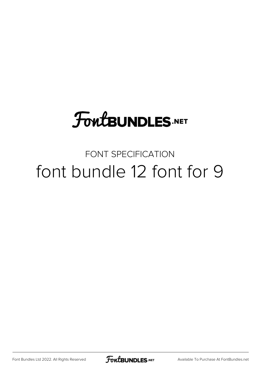# **FoutBUNDLES.NET**

### FONT SPECIFICATION font bundle 12 font for 9

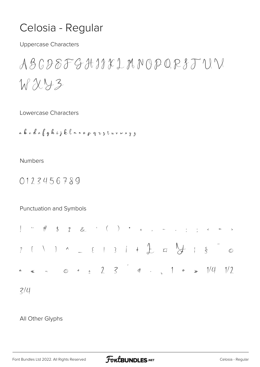### Celosia - Regular

**Uppercase Characters** 

 $ABGDEFGHJKLUMNOPQRSTUN$  $WXY3$ 

Lowercase Characters

a b c d c f g h i j k l m n o p q z z t w v w x y z

**Numbers** 

0123456789

Punctuation and Symbols

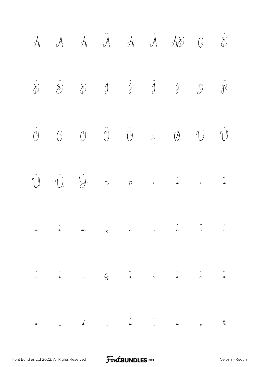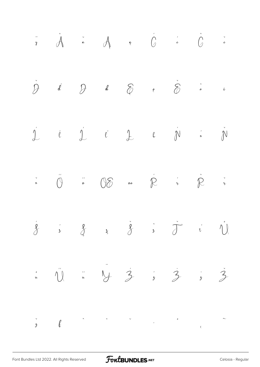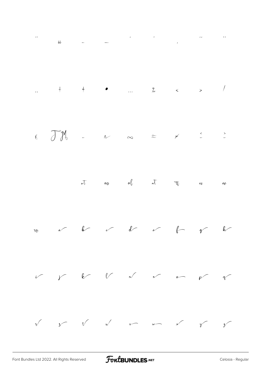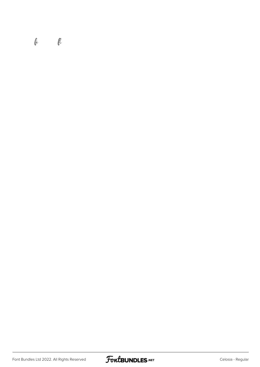#### $\ell$

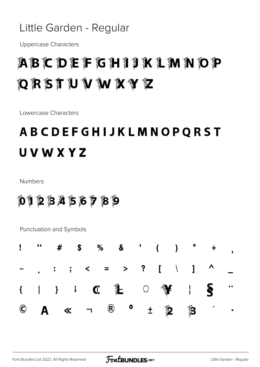#### Little Garden - Regular

**Uppercase Characters** 

### ABCDEFGH19KLMNOP QRSTUVWXYZ

Lowercase Characters

### **ABCDEFGHIJKLMNOPQRST UVWXYZ**

**Numbers** 

0123456789

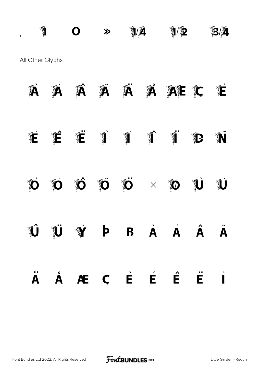$\mathbb{Z}^2$   $\mathbb{Z}^4$   $\mathbb{Z}^4$   $\mathbb{Z}^4$   $\mathbb{Z}^4$   $\mathbb{Z}^4$   $\mathbb{Z}^4$ All Other Glyphs

| Â                   | Á                       | Á                                                                                                                                                                                                                                                                                                                                             |              | ã À                     |                    | A AE C               |          | Ê                    |
|---------------------|-------------------------|-----------------------------------------------------------------------------------------------------------------------------------------------------------------------------------------------------------------------------------------------------------------------------------------------------------------------------------------------|--------------|-------------------------|--------------------|----------------------|----------|----------------------|
| É                   | É                       | $\begin{picture}(20,20) \put(0,0){\line(1,0){155}} \put(15,0){\line(1,0){155}} \put(15,0){\line(1,0){155}} \put(15,0){\line(1,0){155}} \put(15,0){\line(1,0){155}} \put(15,0){\line(1,0){155}} \put(15,0){\line(1,0){155}} \put(15,0){\line(1,0){155}} \put(15,0){\line(1,0){155}} \put(15,0){\line(1,0){155}} \put(15,0){\line(1,0){155}} \$ |              |                         |                    |                      | Î.       | Ñ                    |
| $\ddot{\mathbf{D}}$ | $\ddot{\mathbf{D}}$     | Ő                                                                                                                                                                                                                                                                                                                                             |              | $\tilde{O}$ $\tilde{O}$ |                    | $\times$ 0           | <b>U</b> | $\hat{\mathbf{y}}$   |
|                     | <b>U</b>                |                                                                                                                                                                                                                                                                                                                                               | $\mathsf{P}$ | <b>B</b>                | $\dot{\mathbf{A}}$ | $\acute{\mathbf{A}}$ | Â        | $\tilde{\mathbf{A}}$ |
| $\bullet$ .<br>A    | $\mathring{\textbf{A}}$ | Æ                                                                                                                                                                                                                                                                                                                                             |              | $C$ $\vec{E}$           | É                  | Ê                    | Ë        | $\overrightarrow{I}$ |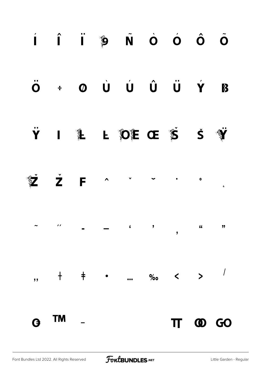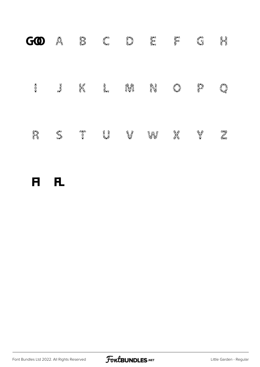| GO      | Ă            | I) | 《大学     | î,       | ķ, | Alan    | f.       | i,          |
|---------|--------------|----|---------|----------|----|---------|----------|-------------|
| 美特尔     | <b>ROTON</b> | X  | è<br>Ša | AA<br>JY | ñ. | I.      |          | i I         |
| r)<br>M | ELST         |    | i<br>Lj | L,       | yy | i<br>Pi | <b>B</b> | erig<br>Cre |
|         |              |    |         |          |    |         |          |             |

fi fl

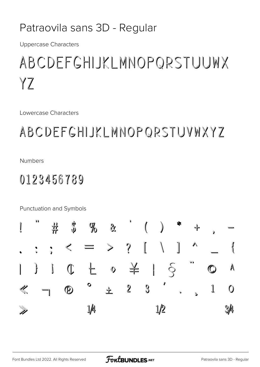#### Patraovila sans 3D - Regular

**Uppercase Characters** 

# ABCDEFGHIJKLMNOPORSTUUWX YZ

Lowercase Characters

### ABCDEFGHIJKLMNOPQRSTUVWXYZ

**Numbers** 

### 0123456789

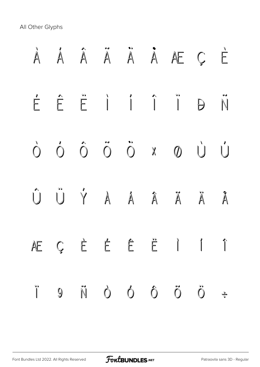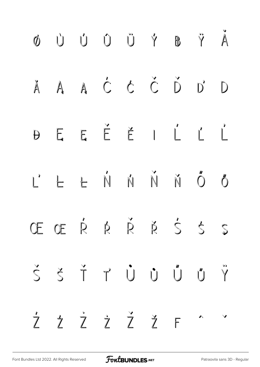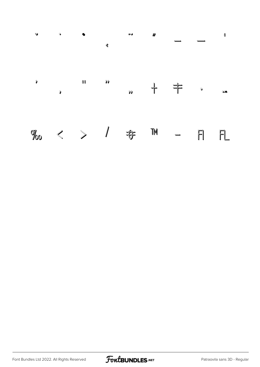

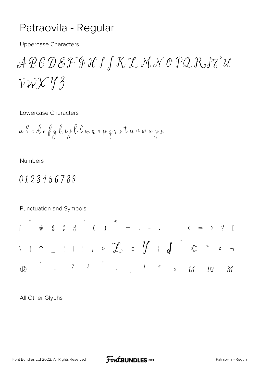#### Patraovila - Regular

**Uppercase Characters** 

 $\mathcal{A}\mathcal{B}\mathcal{C}\mathcal{D}\mathcal{E}\mathcal{F}\mathcal{G}\mathcal{H}\mathcal{I}\mathcal{J}\mathcal{K}\mathcal{I}\mathcal{M}\mathcal{N}\mathcal{O}\mathcal{P}\mathcal{Q}\mathcal{R}\mathcal{J}\mathcal{U}$  $VWXY3$ 

Lowercase Characters

a b c d e f g h i j k l m n o p g i s t u v w x y z

**Numbers** 

#### 0123456789

Punctuation and Symbols  $\blacksquare$  $\setminus$  )  $\uparrow$   $\setminus$   $\setminus$   $\setminus$   $\uparrow$   $\uparrow$   $\uparrow$   $\uparrow$   $\downarrow$   $\downarrow$   $\downarrow$   $\downarrow$   $\circ$   $\circ$   $\circ$  $2 \qquad 3 \qquad \qquad 1 \qquad \sigma \qquad \gg$  $1/4$  $\mathbb{R}$  $\ddot{+}$  $1/2$  $34$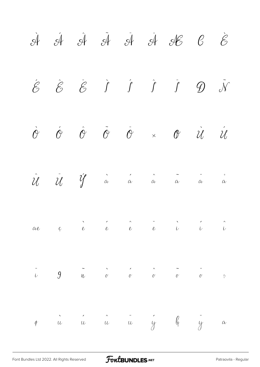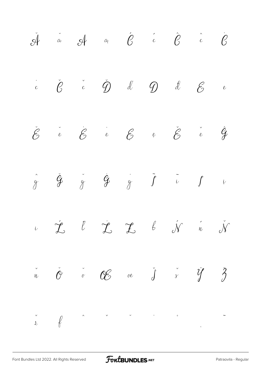|  |  |  | $\check{\mathcal{A}}$ and $\mathcal{A}$ and $\hat{\mathcal{C}}$ and $\hat{\mathcal{C}}$ and $\hat{\mathcal{C}}$                                                                 |  |
|--|--|--|---------------------------------------------------------------------------------------------------------------------------------------------------------------------------------|--|
|  |  |  | $\ddot{c}$ $\ddot{e}$ $\ddot{c}$ $\ddot{Q}$ $\ddot{d}$ $Q$ $\ddot{d}$ $\ddot{e}$ $\ddot{e}$                                                                                     |  |
|  |  |  | $\check{\mathscr{E}}$ $\check{\mathscr{E}}$ $\check{\mathscr{E}}$ $\check{\mathscr{E}}$ $\check{\mathscr{E}}$ $\check{\mathscr{E}}$ $\check{\mathscr{E}}$ $\check{\mathscr{E}}$ |  |
|  |  |  | $\hat{g}$ $\check{g}$ $\check{g}$ $\hat{g}$ $\check{g}$ $\tilde{f}$ $\tilde{u}$ $f$ $\tilde{v}$                                                                                 |  |
|  |  |  | $\begin{array}{ccccccccccccc} \nu & \mathcal{L} & \mathcal{L} & \mathcal{L} & \mathcal{L} & \mathcal{L} & \mathcal{N} & \mathcal{N} & \mathcal{N} \end{array}$                  |  |
|  |  |  | $\check{n}$ $\check{\theta}$ or $\mathscr{C}$ or $\check{j}$ $\check{s}$ $\check{y}$ $\check{z}$                                                                                |  |
|  |  |  |                                                                                                                                                                                 |  |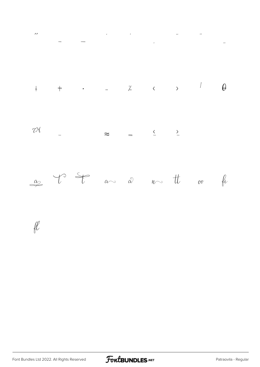



 $\mathscr{U}$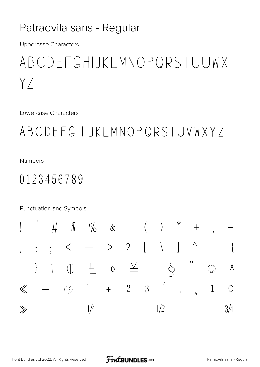#### Patraovila sans - Regular

**Uppercase Characters** 

### ABCDEFGHIJKLMNOPQRSTUUWX  $YZ$

Lowercase Characters

### ABCDEFGHIJKLMNOPQRSTUVWXYZ

**Numbers** 

### 0123456789

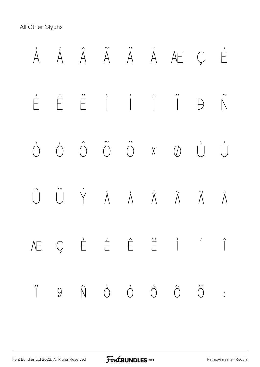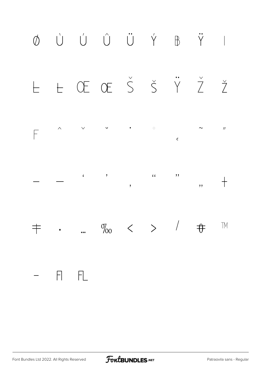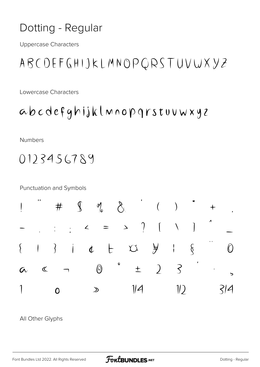### Dotting - Regular

**Uppercase Characters** 

ABCDEFGHIJKLMNOPQRSTUVWXYZ

Lowercase Characters

abcdefghijklmnopgrstuuwxyz

Numbers

0123456789

**Punctuation and Symbols** 

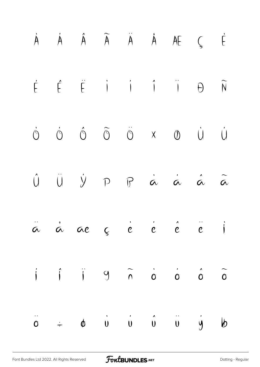|  | $\dot{A} \qquad \dot{A} \qquad \dot{A} \qquad \tilde{A} \qquad \ddot{A} \qquad \dot{A} \qquad A E \qquad \zeta \qquad \dot{E}$                                         |  |  |  |
|--|------------------------------------------------------------------------------------------------------------------------------------------------------------------------|--|--|--|
|  | $\begin{array}{ccccccccccccccccc} \dot{E} & \hat{E} & \dot{E} & \dot{I} & \dot{I} & \dot{I} & \dot{H} & \dot{H} & \dot{N} \end{array}$                                 |  |  |  |
|  | $\begin{array}{ccccccccccccc} \circ & \circ & \circ & \circ & \circ & \circ & \times & \circ & \circ & \circ \end{array}$                                              |  |  |  |
|  | $\begin{matrix} \hat{U} & \hat{U} & \hat{Y} & \cap & \hat{F} & \hat{\alpha} & \hat{\alpha} & \hat{\alpha} & \hat{\alpha} \end{matrix}$                                 |  |  |  |
|  | $\ddot{a}$ $\dot{a}$ ae $\zeta$ $\dot{e}$ $\dot{e}$ $\dot{e}$ $\ddot{e}$ $\ddot{e}$                                                                                    |  |  |  |
|  | $\begin{array}{ccccccccccccc} \text{i} & \text{j} & \text{j} & \text{9} & \text{\smallskip} \tilde{\cap} & \text{o} & \text{o} & \text{o} & \tilde{\circ} \end{array}$ |  |  |  |
|  | $\ddot{\circ}$ = $\phi$ $\dot{\theta}$ $\dot{\theta}$ $\dot{\theta}$ $\ddot{\theta}$ $\dot{\theta}$ $\dot{\theta}$                                                     |  |  |  |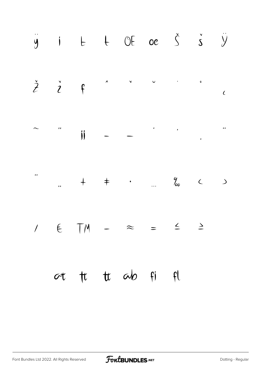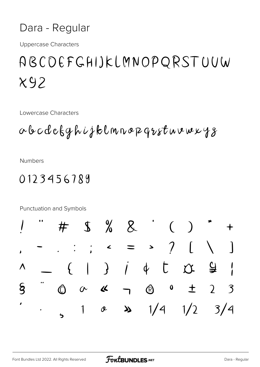#### Dara - Regular

**Uppercase Characters** 

### ABCOEFGHIJKLMNOPQRSTUUW  $X92$

Lowercase Characters

abcdefghijklmnopqrstuvwxyz

**Numbers** 

#### 0123456789

 $\frac{1}{2}$  % &  $\big)$  $\left($ #  $\overline{\mathcal{U}}$  $\overline{\phantom{a}}$  $\rightarrow$  $\dot{l}$   $\dot{\phi}$  $\mathbf{I}$  $\bigg)$  $\overline{\mathbf{Q}}$  $\big\{$  $\Gamma$  $\gamma$ Λ  $\S$  $\boldsymbol{0}$  $\bigcirc$  $\mathbb{O}$  $\overline{2}$  $\overline{\mathbf{K}}$  $\mathcal{E}$  $\sigma$  $\mathbf +$  $\lambda$  $1/4$  $1/2$  $\lambda$  $3/4$ 1  $\boldsymbol{\alpha}$  $\blacklozenge$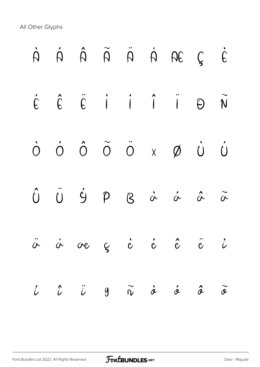|               |  |  | $\begin{array}{ccccccccccccc} \dot{\cap} & \dot{\cap} & \dot{\cap} & \hat{\cap} & \dot{\cap} & \dot{\cap} & \dot{\cap} & \hat{\cap} & \hat{\cap} & \dot{\cap} & \dot{\cap} & \dot{\cap} & \dot{\cap} & \dot{\cap} & \dot{\cap} & \dot{\cap} & \dot{\cap} & \dot{\cap} & \dot{\cap} & \dot{\cap} & \dot{\cap} & \dot{\cap} & \dot{\cap} & \dot{\cap} & \dot{\cap} & \dot{\cap} & \dot{\cap} & \dot{\cap} & \dot{\cap} & \dot{\cap} & \dot{\cap} & \dot{\cap} & \dot{\cap} & \dot{\cap} & \dot{\cap} &$ |                           |
|---------------|--|--|-------------------------------------------------------------------------------------------------------------------------------------------------------------------------------------------------------------------------------------------------------------------------------------------------------------------------------------------------------------------------------------------------------------------------------------------------------------------------------------------------------|---------------------------|
|               |  |  | $\begin{array}{ccccccccccccccccc} \acute{E} & \hat{E} & \acute{E} & \dot{I} & \dot{I} & \hat{I} & \ddot{I} & \Theta & \widetilde{N} \end{array}$                                                                                                                                                                                                                                                                                                                                                      |                           |
|               |  |  | $\begin{array}{ccccccccc}\n\dot{\bigcirc} & \dot{\bigcirc} & \hat{\bigcirc} & \ddot{\bigcirc} & \times & \cancel{\emptyset} & \dot{\bigcirc} & \dot{\bigcirc}\n\end{array}$                                                                                                                                                                                                                                                                                                                           |                           |
|               |  |  | $\hat{U} \quad \  \, \ddot{U} \quad \  \, \dot{Y} \qquad \qquad \  \, \rho \qquad \qquad \  \, \circ \qquad \qquad \, \dot{\alpha} \qquad \qquad \, \dot{\alpha} \qquad \qquad \, \tilde{\alpha} \qquad \qquad \, \tilde{\alpha} \qquad \qquad \, \tilde{\alpha} \qquad \qquad \, \tilde{\alpha} \qquad \qquad \, \tilde{\alpha} \qquad \qquad \, \tilde{\alpha} \qquad \qquad \, \tilde{\alpha} \qquad \qquad \, \tilde{\alpha} \qquad \qquad \, \tilde{\alpha} \qquad \qquad \, \tilde{\alpha} \q$  |                           |
|               |  |  | ä å ve g è é é ë i                                                                                                                                                                                                                                                                                                                                                                                                                                                                                    |                           |
| $\dot{\iota}$ |  |  | $\hat{\iota}$ $\ddot{\iota}$ $g$ $\widetilde{\kappa}$ $\dot{\alpha}$ $\dot{\alpha}$ $\hat{\alpha}$                                                                                                                                                                                                                                                                                                                                                                                                    | $\widetilde{\mathcal{Z}}$ |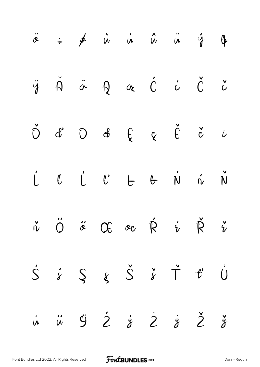|  | $\ddot{\hat{\sigma}}$ $\div$ $\phi$ in in in in in the set of $\ddot{\phi}$                              |  |  |  |
|--|----------------------------------------------------------------------------------------------------------|--|--|--|
|  | ÿ Ă à Ą a Ć ċ Č č                                                                                        |  |  |  |
|  | $\check{D}$ d' $D$ d' $\oint$ $Q$ $\check{C}$ d' $U$                                                     |  |  |  |
|  | L L L L & N N N                                                                                          |  |  |  |
|  | $\check{n}$ $\check{O}$ $\check{\sigma}$ $\alpha$ or $\dot{R}$ $\check{i}$ $\check{R}$ $\check{i}$       |  |  |  |
|  | $\dot{S} \quad \dot{s} \quad S \quad s \quad \dot{S} \quad \dot{s} \quad \dot{T} \quad t' \quad \dot{U}$ |  |  |  |
|  | i i ÿ ż ż ż ż ž ž                                                                                        |  |  |  |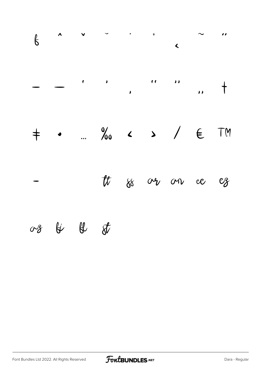|               |          | $6$ ^ $\vee$ $\cdot$ $\cdot$ $\cdot$ $\sim$ $\cdot$ |  |  |  |
|---------------|----------|-----------------------------------------------------|--|--|--|
|               |          |                                                     |  |  |  |
|               |          | $+$ . % $\sim$ > / $\in$ TM                         |  |  |  |
| $\mathcal{L}$ |          | tt so ver om ee ez                                  |  |  |  |
|               | 08 & & & |                                                     |  |  |  |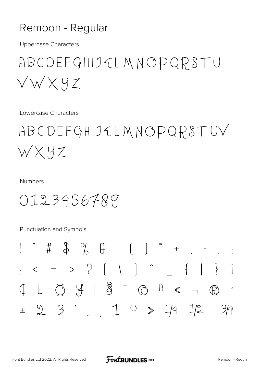#### Remoon - Regular

**Uppercase Characters** 

### ABCDEFGHIJKLMNOPQRSTU  $\sqrt{W}$   $\times$   $9$   $Z$

Lowercase Characters

# ABCDEFGHIJKLMNOPQRSTUV WXYZ

**Numbers** 

0123456789

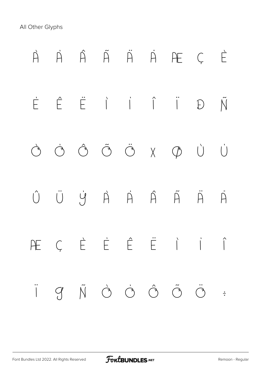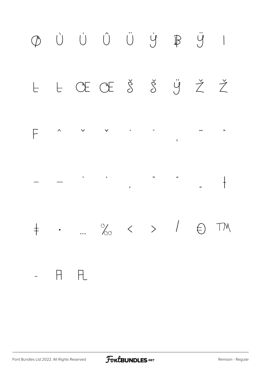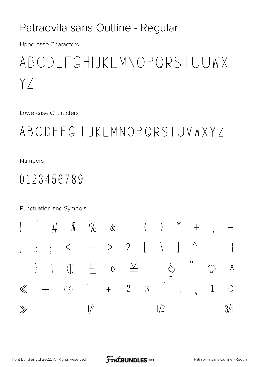#### Patraovila sans Outline - Regular

**Uppercase Characters** 

### ABCDEFGHIJKLMNOPQRSTUUWX  $YZ$

Lowercase Characters

### ABCDEFGHIJKLMNOPQRSTUVWXYZ

**Numbers** 

### 0123456789

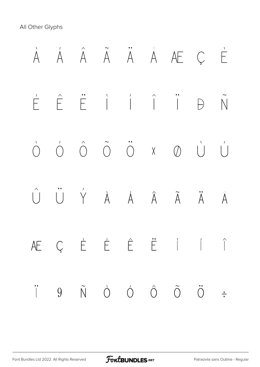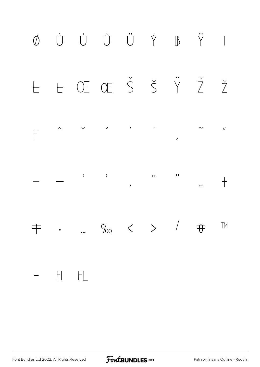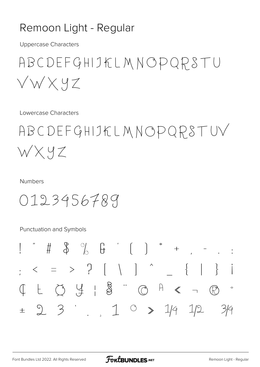#### Remoon Light - Regular

**Uppercase Characters** 

### ABCDEFGHIJKLMNOPQRSTU  $\lor \lor \times$  YZ

Lowercase Characters

# ABCDEFGHIJKLMNOPQRSTUV WXYZ

**Numbers** 

0123456789

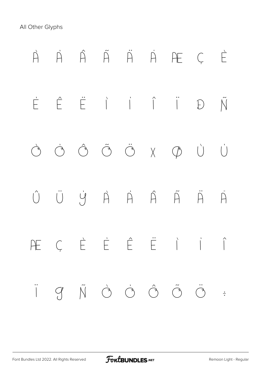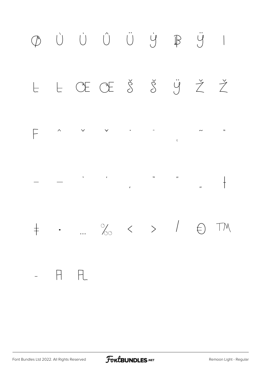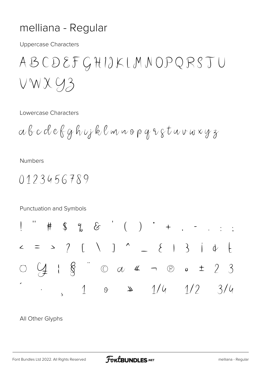#### melliana - Regular

**Uppercase Characters** 

ABCDEFGHIJKLMNOPQRSTU  $VWXY3$ 

Lowercase Characters

abcdefghujklmnopqrstuvwxyz

**Numbers** 

 $0123456789$ 

Punctuation and Symbols  $\%$  &  $($  )  $*$  +  $\cdot$  : ;  $#$  $\mathcal{L}$  $\oint$  0  $\omega$  4  $\neg$  8  $\omega$   $\pm$  2 3  $\frac{1}{2}$  $1 \quad 0 \quad 2 \quad 1/4 \quad 1/2$  $3/4$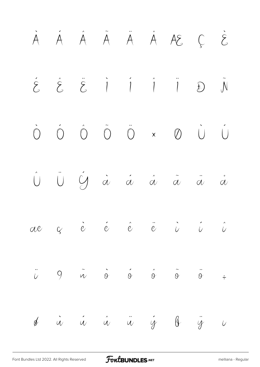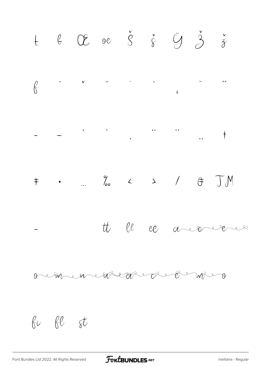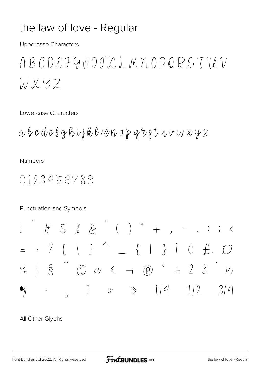#### the law of love - Regular

**Uppercase Characters** 

ABCDEFGHJJKLMNOPQRSTUV  $\lambda$  X Y Z

Lowercase Characters

abcdetghijklwnopqrstwvwxyz

**Numbers** 

0123456789

Punctuation and Symbols

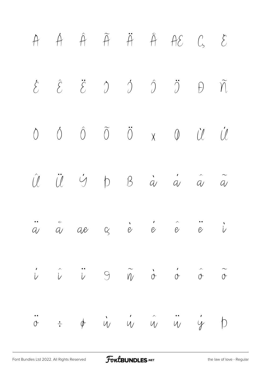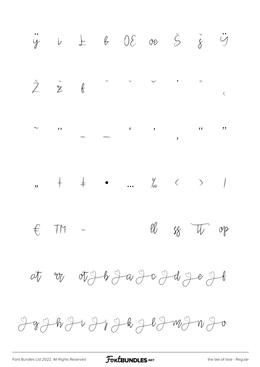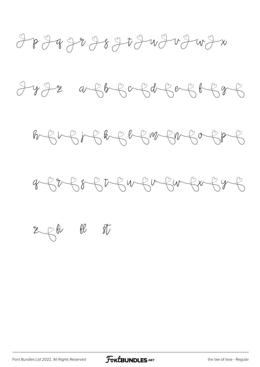$\frac{1}{2} + \frac{1}{2} + \frac{1}{2} + \frac{1}{2} + \frac{1}{2} + \frac{1}{2} + \frac{1}{2} + \frac{1}{2} + \frac{1}{2} + \frac{1}{2} + \frac{1}{2} + \frac{1}{2} + \frac{1}{2} + \frac{1}{2} + \frac{1}{2} + \frac{1}{2} + \frac{1}{2} + \frac{1}{2} + \frac{1}{2} + \frac{1}{2} + \frac{1}{2} + \frac{1}{2} + \frac{1}{2} + \frac{1}{2} + \frac{1}{2} + \frac{1}{2} + \frac{1}{2} + \frac{1$ 







 $z$   $\beta$  fi  $\beta$  $\mathscr{J}_{\mathscr{V}}$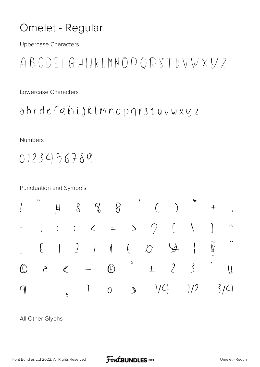#### Omelet - Regular

**Uppercase Characters** 

 $ABCDEFGHJIKLMNODQRSTUVWXYZ$ 

Lowercase Characters

 $abcedefghijklmnopqistuvwyz$ 

Numbers

 $0123456789$ 

**Punctuation and Symbols** 

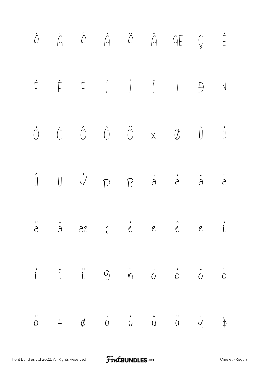